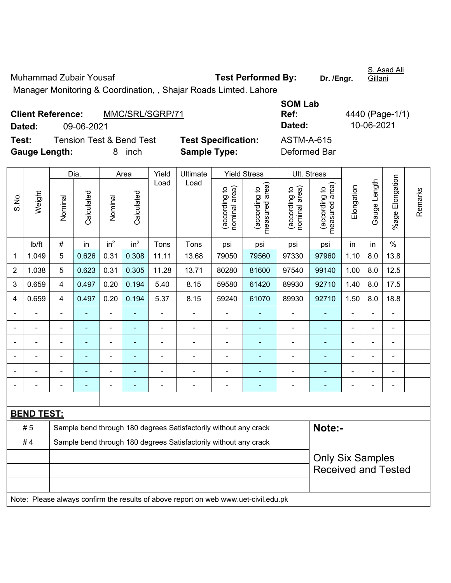Muhammad Zubair Yousaf **Test Performed By:** Dr. /Engr. S. Asad Ali Gillani Manager Monitoring & Coordination, , Shajar Roads Limted. Lahore

| <b>Client Reference:</b> |            | MMC/SRL/SGRP/71                     |                            | Ref:              | 4440 (Page-1 |
|--------------------------|------------|-------------------------------------|----------------------------|-------------------|--------------|
| Dated:                   | 09-06-2021 |                                     |                            | Dated:            | 10-06-2021   |
| Test:                    |            | <b>Tension Test &amp; Bend Test</b> | <b>Test Specification:</b> | <b>ASTM-A-615</b> |              |
| <b>Gauge Length:</b>     |            | inch                                | <b>Sample Type:</b>        | Deformed Bar      |              |

| <b>SOM Lab</b>    |                 |
|-------------------|-----------------|
| Ref:              | 4440 (Page-1/1) |
| Dated:            | 10-06-2021      |
| <b>ASTM-A-615</b> |                 |
| Deformed Bar      |                 |

|                |                   |                         | Dia.           |                 | Area            |                          | Yield<br><b>Ultimate</b>                                                            |                                | <b>Yield Stress</b>             | Ult. Stress                    |                                 |                |                          |                 |         |
|----------------|-------------------|-------------------------|----------------|-----------------|-----------------|--------------------------|-------------------------------------------------------------------------------------|--------------------------------|---------------------------------|--------------------------------|---------------------------------|----------------|--------------------------|-----------------|---------|
| S.No.          | Weight            | Nominal                 | Calculated     | Nominal         | Calculated      | Load                     | Load                                                                                | nominal area)<br>(according to | (according to<br>measured area) | nominal area)<br>(according to | (according to<br>measured area) | Elongation     | Gauge Length             | %age Elongation | Remarks |
|                | Ib/ft             | $\#$                    | in             | in <sup>2</sup> | in <sup>2</sup> | Tons                     | Tons                                                                                | psi                            | psi                             | psi                            | psi                             | in             | in                       | $\frac{0}{0}$   |         |
| 1              | 1.049             | 5                       | 0.626          | 0.31            | 0.308           | 11.11                    | 97960                                                                               | 1.10                           | 8.0                             | 13.8                           |                                 |                |                          |                 |         |
| $\overline{2}$ | 1.038             | 5                       | 0.623          | 0.31            | 0.305           | 11.28                    | 13.71                                                                               | 80280                          | 81600                           | 97540                          | 99140                           | 1.00           | 8.0                      | 12.5            |         |
| 3              | 0.659             | $\overline{4}$          | 0.497          | 0.20            | 0.194           | 5.40                     | 8.15                                                                                | 59580                          | 61420                           | 89930                          | 92710                           | 1.40           | 8.0                      | 17.5            |         |
| 4              | 0.659             | $\overline{\mathbf{4}}$ | 0.497          | 0.20            | 0.194           | 5.37                     | 8.15                                                                                | 59240                          | 61070                           | 89930                          | 92710                           | 1.50           | 8.0                      | 18.8            |         |
|                |                   |                         |                |                 |                 |                          |                                                                                     |                                |                                 |                                |                                 |                |                          |                 |         |
|                |                   |                         | ä,             | ÷,              |                 |                          | ä,                                                                                  | L,                             |                                 | ÷                              |                                 |                |                          | $\blacksquare$  |         |
|                |                   |                         | -              | ۰               |                 |                          |                                                                                     | ä,                             | ۰                               | $\overline{\phantom{0}}$       | $\blacksquare$                  |                |                          | $\blacksquare$  |         |
|                | ÷                 | $\blacksquare$          | $\blacksquare$ | ÷,              |                 |                          | ä,                                                                                  | $\overline{\phantom{a}}$       | $\blacksquare$                  | ÷                              |                                 | $\blacksquare$ | $\blacksquare$           | $\blacksquare$  |         |
|                | ÷                 | $\blacksquare$          | $\blacksquare$ | ÷,              |                 | $\overline{\phantom{0}}$ | $\overline{a}$                                                                      | $\blacksquare$                 | $\blacksquare$                  | ä,                             | ٠                               | $\blacksquare$ | $\overline{\phantom{0}}$ | $\blacksquare$  |         |
|                |                   |                         | $\blacksquare$ | ۰               |                 |                          | ÷                                                                                   | $\overline{a}$                 | $\blacksquare$                  | ÷                              | ٠                               | ä,             | $\overline{\phantom{0}}$ | $\blacksquare$  |         |
|                |                   |                         |                |                 |                 |                          |                                                                                     |                                |                                 |                                |                                 |                |                          |                 |         |
|                | <b>BEND TEST:</b> |                         |                |                 |                 |                          |                                                                                     |                                |                                 |                                |                                 |                |                          |                 |         |
|                | #5                |                         |                |                 |                 |                          | Sample bend through 180 degrees Satisfactorily without any crack                    |                                |                                 |                                | Note:-                          |                |                          |                 |         |
|                | #4                |                         |                |                 |                 |                          | Sample bend through 180 degrees Satisfactorily without any crack                    |                                |                                 |                                |                                 |                |                          |                 |         |
|                |                   | <b>Only Six Samples</b> |                |                 |                 |                          |                                                                                     |                                |                                 |                                |                                 |                |                          |                 |         |
|                |                   |                         |                |                 |                 |                          |                                                                                     |                                |                                 |                                | <b>Received and Tested</b>      |                |                          |                 |         |
|                |                   |                         |                |                 |                 |                          |                                                                                     |                                |                                 |                                |                                 |                |                          |                 |         |
|                |                   |                         |                |                 |                 |                          | Note: Please always confirm the results of above report on web www.uet-civil.edu.pk |                                |                                 |                                |                                 |                |                          |                 |         |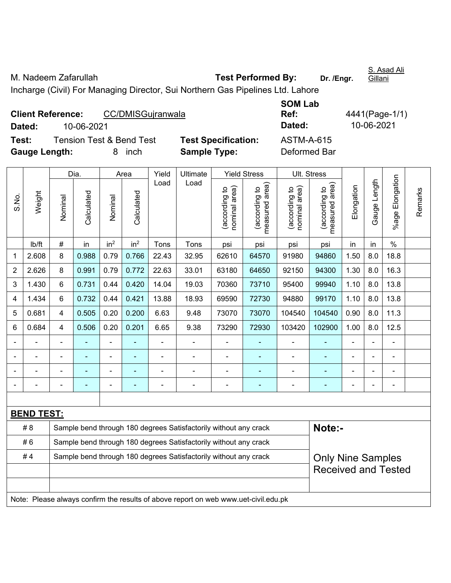M. Nadeem Zafarullah **Test Performed By:** Dr. /Engr. Gillani Incharge (Civil) For Managing Director, Sui Northern Gas Pipelines Ltd. Lahore

| <b>Client Reference:</b> | CC/DMISGujranwala                   |                            | <b>SOM Lab</b><br>Ref:<br>Dated: | 4441(Page-1/1)<br>10-06-2021 |  |  |
|--------------------------|-------------------------------------|----------------------------|----------------------------------|------------------------------|--|--|
| 10-06-2021<br>Dated:     |                                     |                            |                                  |                              |  |  |
| Test:                    | <b>Tension Test &amp; Bend Test</b> | <b>Test Specification:</b> | <b>ASTM-A-615</b>                |                              |  |  |
| <b>Gauge Length:</b>     | inch                                | <b>Sample Type:</b>        | Deformed Bar                     |                              |  |  |

|                |                   |                                                                  | Dia.       |                 | Area            | Yield          | <b>Ultimate</b>                                                                     |                                | <b>Yield Stress</b>             |                                | Ult. Stress                     |                |              |                 |         |
|----------------|-------------------|------------------------------------------------------------------|------------|-----------------|-----------------|----------------|-------------------------------------------------------------------------------------|--------------------------------|---------------------------------|--------------------------------|---------------------------------|----------------|--------------|-----------------|---------|
| S.No.          | Weight            | Nominal                                                          | Calculated | Nominal         | Calculated      | Load           | Load                                                                                | nominal area)<br>(according to | (according to<br>measured area) | nominal area)<br>(according to | (according to<br>measured area) | Elongation     | Gauge Length | %age Elongation | Remarks |
|                | Ib/ft             | $\#$                                                             | in         | in <sup>2</sup> | in <sup>2</sup> | Tons           | Tons                                                                                | psi                            | psi                             | psi                            | psi                             | in             | in           | $\frac{0}{0}$   |         |
| 1              | 2.608             | 8                                                                | 0.988      | 0.79            | 0.766           | 22.43          | 32.95                                                                               | 62610                          | 64570                           | 91980                          | 94860                           | 1.50           | 8.0          | 18.8            |         |
| $\overline{2}$ | 2.626             | 8                                                                | 0.991      | 0.79            | 0.772           | 22.63          | 33.01                                                                               | 63180                          | 64650                           | 92150                          | 94300                           | 1.30           | 8.0          | 16.3            |         |
| 3              | 1.430             | 6                                                                | 0.731      | 0.44            | 0.420           | 14.04          | 19.03                                                                               | 70360                          | 73710                           | 95400                          | 99940                           | 1.10           | 8.0          | 13.8            |         |
| 4              | 1.434             | 6                                                                | 0.732      | 0.44            | 0.421           | 13.88          | 18.93                                                                               | 69590                          | 72730                           | 94880                          | 99170                           | 1.10           | 8.0          | 13.8            |         |
| 5              | 0.681             | $\overline{4}$                                                   | 0.505      | 0.20            | 0.200           | 6.63           | 9.48                                                                                | 73070                          | 73070                           | 104540                         | 104540                          | 0.90           | 8.0          | 11.3            |         |
| 6              | 0.684             | 4                                                                | 0.506      | 0.20            | 0.201           | 6.65           | 9.38                                                                                | 73290                          | 72930                           | 103420                         | 102900                          | 1.00           | 8.0          | 12.5            |         |
|                | $\blacksquare$    | $\blacksquare$                                                   | ٠          | ÷,              |                 | $\blacksquare$ | ä,                                                                                  | ä,                             | $\blacksquare$                  | ÷,                             | ÷,                              | ä,             | ä,           | $\blacksquare$  |         |
|                | $\blacksquare$    |                                                                  | ÷,         | ÷,              |                 | $\blacksquare$ | ä,                                                                                  | ÷,                             | ٠                               | ÷,                             | $\blacksquare$                  | $\blacksquare$ |              | $\blacksquare$  |         |
|                |                   |                                                                  | ä,         | ÷,              |                 |                | ä,                                                                                  | $\overline{a}$                 | ÷                               | ÷,                             | ä,                              | $\blacksquare$ |              | $\blacksquare$  |         |
|                |                   |                                                                  |            |                 |                 |                | $\overline{\phantom{0}}$                                                            | $\blacksquare$                 | ٠                               |                                |                                 |                |              | $\blacksquare$  |         |
|                |                   |                                                                  |            |                 |                 |                |                                                                                     |                                |                                 |                                |                                 |                |              |                 |         |
|                | <b>BEND TEST:</b> |                                                                  |            |                 |                 |                |                                                                                     |                                |                                 |                                |                                 |                |              |                 |         |
|                | # 8               |                                                                  |            |                 |                 |                | Sample bend through 180 degrees Satisfactorily without any crack                    |                                |                                 |                                | Note:-                          |                |              |                 |         |
|                | #6                |                                                                  |            |                 |                 |                | Sample bend through 180 degrees Satisfactorily without any crack                    |                                |                                 |                                |                                 |                |              |                 |         |
|                | #4                | Sample bend through 180 degrees Satisfactorily without any crack |            |                 |                 |                |                                                                                     |                                |                                 |                                | <b>Only Nine Samples</b>        |                |              |                 |         |
|                |                   |                                                                  |            |                 |                 |                |                                                                                     |                                |                                 |                                | <b>Received and Tested</b>      |                |              |                 |         |
|                |                   |                                                                  |            |                 |                 |                |                                                                                     |                                |                                 |                                |                                 |                |              |                 |         |
|                |                   |                                                                  |            |                 |                 |                | Note: Please always confirm the results of above report on web www.uet-civil.edu.pk |                                |                                 |                                |                                 |                |              |                 |         |

S. Asad Ali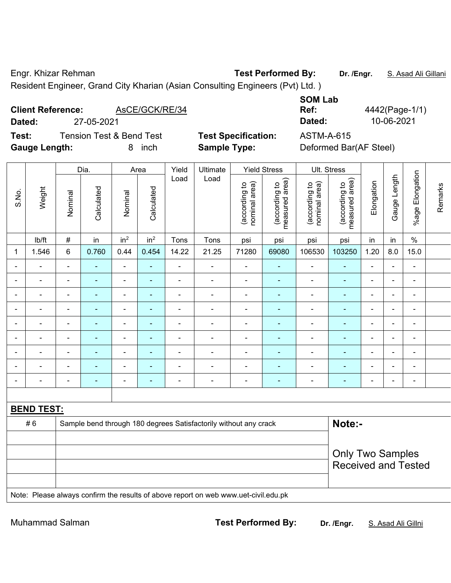Engr. Khizar Rehman **Test Performed By: Dr. /Engr.** S. Asad Ali Gillani Resident Engineer, Grand City Kharian (Asian Consulting Engineers (Pvt) Ltd. )

## **Client Reference:** AsCE/GCK/RE/34

**Dated:** 27-05-2021 **Dated:** 10-06-2021 **Test:** Tension Test & Bend Test **Test Specification:** ASTM-A-615 **Gauge Length:** 8 inch **Sample Type:** Deformed Bar(AF Steel)

**Ref:** 4442(Page-1/1)

**SOM Lab** 

|                |                          |                | Dia.           |                 | Area            | Yield                        | Ultimate                                                                            |                                | <b>Yield Stress</b>             | Ult. Stress                    |                                 |                          |                                                       |                          |         |  |  |
|----------------|--------------------------|----------------|----------------|-----------------|-----------------|------------------------------|-------------------------------------------------------------------------------------|--------------------------------|---------------------------------|--------------------------------|---------------------------------|--------------------------|-------------------------------------------------------|--------------------------|---------|--|--|
| S.No.          | Weight                   | Nominal        | Calculated     | Nominal         | Calculated      | Load                         | Load                                                                                | nominal area)<br>(according to | measured area)<br>(according to | (according to<br>nominal area) | (according to<br>measured area) | Elongation               | Gauge Length                                          | %age Elongation          | Remarks |  |  |
|                | Ib/ft                    | $\#$           | in             | in <sup>2</sup> | in <sup>2</sup> | Tons                         | Tons                                                                                | psi                            | psi                             | psi                            | psi                             | in                       | in                                                    | $\%$                     |         |  |  |
| 1              | 1.546                    | $\,6\,$        | 0.760          | 0.44            | 0.454           | 14.22                        | 21.25                                                                               | 71280                          | 69080                           | 106530                         | 103250                          | 1.20                     | 8.0                                                   | 15.0                     |         |  |  |
| $\blacksquare$ | $\blacksquare$           | $\frac{1}{2}$  | $\blacksquare$ | $\blacksquare$  | $\blacksquare$  | $\blacksquare$               | $\blacksquare$                                                                      | $\blacksquare$                 | $\blacksquare$                  | $\frac{1}{2}$                  | $\blacksquare$                  | $\overline{\phantom{a}}$ | ä,                                                    | $\blacksquare$           |         |  |  |
| $\blacksquare$ | $\blacksquare$           | $\blacksquare$ | $\blacksquare$ | $\overline{a}$  | $\blacksquare$  | $\blacksquare$               | $\blacksquare$                                                                      | $\overline{\phantom{a}}$       | $\blacksquare$                  | $\blacksquare$                 | $\blacksquare$                  | ä,                       |                                                       | $\blacksquare$           |         |  |  |
|                | $\overline{\phantom{0}}$ |                |                | ÷               | $\blacksquare$  | ۰                            |                                                                                     | $\blacksquare$                 | $\blacksquare$                  | $\blacksquare$                 | $\blacksquare$                  | $\blacksquare$           |                                                       | $\blacksquare$           |         |  |  |
| $\blacksquare$ | $\blacksquare$           | $\blacksquare$ | $\blacksquare$ | $\blacksquare$  | $\blacksquare$  | $\blacksquare$               | $\blacksquare$                                                                      | $\overline{\phantom{a}}$       | $\blacksquare$                  | $\overline{\phantom{a}}$       | $\blacksquare$                  | $\blacksquare$           | $\blacksquare$                                        | $\blacksquare$           |         |  |  |
| $\blacksquare$ | $\blacksquare$           | $\blacksquare$ | $\blacksquare$ | ۰               | $\blacksquare$  | $\qquad \qquad \blacksquare$ | $\blacksquare$                                                                      | $\overline{\phantom{a}}$       | $\blacksquare$                  | $\blacksquare$                 | $\blacksquare$                  | $\frac{1}{2}$            | $\overline{\phantom{0}}$                              | $\blacksquare$           |         |  |  |
| $\blacksquare$ | $\blacksquare$           | $\frac{1}{2}$  | $\blacksquare$ | $\blacksquare$  | $\blacksquare$  | $\blacksquare$               | $\blacksquare$                                                                      | $\blacksquare$                 | $\blacksquare$                  | $\blacksquare$                 | $\blacksquare$                  | $\overline{\phantom{a}}$ | $\overline{a}$                                        | $\blacksquare$           |         |  |  |
| $\blacksquare$ | $\blacksquare$           | $\blacksquare$ | $\blacksquare$ | $\overline{a}$  | $\blacksquare$  | $\blacksquare$               | $\blacksquare$                                                                      | $\overline{\phantom{a}}$       | $\blacksquare$                  | $\blacksquare$                 | ä,                              | $\blacksquare$           |                                                       | $\blacksquare$           |         |  |  |
|                |                          |                |                | ÷               | $\blacksquare$  | $\blacksquare$               |                                                                                     | ÷                              | $\blacksquare$                  | $\blacksquare$                 | $\blacksquare$                  | $\blacksquare$           |                                                       | $\blacksquare$           |         |  |  |
| $\blacksquare$ | $\blacksquare$           | $\blacksquare$ | $\blacksquare$ | $\blacksquare$  | $\blacksquare$  | $\blacksquare$               | $\blacksquare$                                                                      | $\overline{\phantom{a}}$       | $\blacksquare$                  | $\blacksquare$                 | $\blacksquare$                  | $\blacksquare$           |                                                       | $\overline{\phantom{a}}$ |         |  |  |
|                |                          |                |                |                 |                 |                              |                                                                                     |                                |                                 |                                |                                 |                          |                                                       |                          |         |  |  |
|                | <b>BEND TEST:</b>        |                |                |                 |                 |                              |                                                                                     |                                |                                 |                                |                                 |                          |                                                       |                          |         |  |  |
|                | #6                       |                |                |                 |                 |                              | Sample bend through 180 degrees Satisfactorily without any crack                    |                                |                                 |                                | Note:-                          |                          |                                                       |                          |         |  |  |
|                |                          |                |                |                 |                 |                              |                                                                                     |                                |                                 |                                |                                 |                          |                                                       |                          |         |  |  |
|                |                          |                |                |                 |                 |                              |                                                                                     |                                |                                 |                                |                                 |                          | <b>Only Two Samples</b><br><b>Received and Tested</b> |                          |         |  |  |
|                |                          |                |                |                 |                 |                              | Note: Please always confirm the results of above report on web www.uet-civil.edu.pk |                                |                                 |                                |                                 |                          |                                                       |                          |         |  |  |
|                |                          |                |                |                 |                 |                              |                                                                                     |                                |                                 |                                |                                 |                          |                                                       |                          |         |  |  |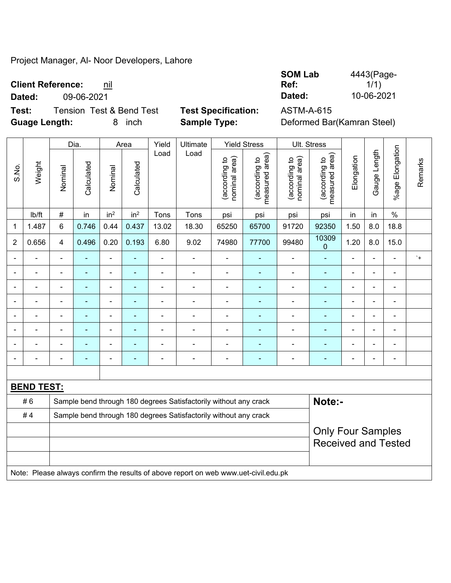## Project Manager, Al- Noor Developers, Lahore

## **Client Reference: nil**

**Test:** Tension Test & Bend Test **Test Specification:** ASTM-A-615 **Guage Length:** 8 inch **Sample Type:** Deformed Bar(Kamran Steel)

**SOM Lab Ref:**  4443(Page-1/1) **Dated:** 09-06-2021 **Dated:** 10-06-2021

|                          |                   |                                                                  | Dia.                     |                          | Area                                                             | Yield          | Ultimate                 |                                | <b>Yield Stress</b>             | Ult. Stress                    |                                |                |                |                           |            |
|--------------------------|-------------------|------------------------------------------------------------------|--------------------------|--------------------------|------------------------------------------------------------------|----------------|--------------------------|--------------------------------|---------------------------------|--------------------------------|--------------------------------|----------------|----------------|---------------------------|------------|
| S.No.                    | Weight            | Nominal                                                          | Calculated               | Nominal                  | Calculated                                                       | Load           | Load                     | nominal area)<br>(according to | measured area)<br>(according to | (according to<br>nominal area) | measured area)<br>according to | Elongation     | Gauge Length   | Elongation<br>$%$ age $ $ | Remarks    |
|                          | Ib/ft             | $\#$                                                             | in                       | in <sup>2</sup>          | in <sup>2</sup>                                                  | Tons           | Tons                     | psi                            | psi                             | psi                            | psi                            | in             | in             | $\%$                      |            |
| 1                        | 1.487             | 6                                                                | 0.746                    | 0.44                     | 0.437                                                            | 13.02          | 18.30                    | 65250                          | 65700                           | 91720                          | 92350                          | 1.50           | 8.0            | 18.8                      |            |
| $\overline{2}$           | 0.656             | $\overline{4}$                                                   | 0.496                    | 0.20                     | 0.193                                                            | 6.80           | 9.02                     | 74980                          | 77700                           | 99480                          | 10309<br>0                     | 1.20           | 8.0            | 15.0                      |            |
| $\overline{\phantom{0}}$ |                   | $\overline{a}$                                                   | $\blacksquare$           | $\overline{\phantom{a}}$ | ÷                                                                | ÷              | $\overline{\phantom{a}}$ | $\blacksquare$                 |                                 |                                |                                |                | $\blacksquare$ | $\blacksquare$            | $^{\circ}$ |
|                          |                   | $\blacksquare$                                                   | $\blacksquare$           | $\blacksquare$           | ٠                                                                | ÷              | ÷                        | $\blacksquare$                 |                                 |                                |                                | ä,             | $\blacksquare$ | ä,                        |            |
|                          |                   | $\blacksquare$                                                   | ۳                        | $\blacksquare$           | $\blacksquare$                                                   | $\blacksquare$ | $\blacksquare$           | $\blacksquare$                 | $\overline{\phantom{0}}$        |                                |                                | $\blacksquare$ |                |                           |            |
|                          |                   | $\qquad \qquad \blacksquare$                                     | ۰                        | $\overline{\phantom{0}}$ | $\overline{a}$                                                   | $\overline{a}$ | $\blacksquare$           | $\blacksquare$                 | ۰                               | $\blacksquare$                 | $\blacksquare$                 | -              | ۰              | $\blacksquare$            |            |
|                          |                   | $\blacksquare$                                                   | $\overline{\phantom{0}}$ | $\blacksquare$           |                                                                  | ۰              | $\overline{\phantom{a}}$ | $\overline{a}$                 |                                 |                                |                                | $\blacksquare$ | $\blacksquare$ | $\blacksquare$            |            |
|                          |                   | ٠                                                                | -                        | $\blacksquare$           | ٠                                                                | $\blacksquare$ | $\blacksquare$           | $\blacksquare$                 | ÷                               | $\blacksquare$                 |                                | $\blacksquare$ |                |                           |            |
|                          |                   | $\blacksquare$                                                   | -                        | $\blacksquare$           |                                                                  | $\blacksquare$ | $\overline{\phantom{0}}$ | $\blacksquare$                 |                                 |                                |                                | $\blacksquare$ |                | $\blacksquare$            |            |
|                          |                   | $\qquad \qquad \blacksquare$                                     | -                        | $\blacksquare$           |                                                                  | $\overline{a}$ | ۰                        | $\overline{a}$                 | $\overline{a}$                  | $\blacksquare$                 |                                | $\overline{a}$ |                | $\blacksquare$            |            |
|                          |                   |                                                                  |                          |                          |                                                                  |                |                          |                                |                                 |                                |                                |                |                |                           |            |
|                          | <b>BEND TEST:</b> |                                                                  |                          |                          |                                                                  |                |                          |                                |                                 |                                |                                |                |                |                           |            |
|                          | #6                |                                                                  |                          |                          | Sample bend through 180 degrees Satisfactorily without any crack |                | Note:-                   |                                |                                 |                                |                                |                |                |                           |            |
|                          | #4                | Sample bend through 180 degrees Satisfactorily without any crack |                          |                          |                                                                  |                |                          |                                |                                 |                                |                                |                |                |                           |            |
|                          |                   |                                                                  |                          |                          |                                                                  |                |                          |                                |                                 |                                | <b>Only Four Samples</b>       |                |                |                           |            |
|                          |                   |                                                                  |                          |                          |                                                                  |                |                          |                                |                                 |                                | <b>Received and Tested</b>     |                |                |                           |            |
|                          |                   |                                                                  |                          |                          |                                                                  |                |                          |                                |                                 |                                |                                |                |                |                           |            |

Note: Please always confirm the results of above report on web www.uet-civil.edu.pk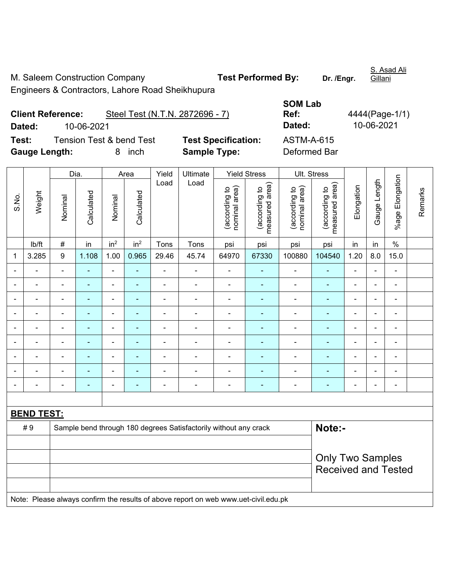M. Saleem Construction Company **Test Performed By:** Dr. /Engr.

Engineers & Contractors, Lahore Road Sheikhupura

**SOM Lab Ref:** 4444(Page-1/1) **Dated:** 10-06-2021 **Dated:** 10-06-2021

Client Reference: Steel Test (N.T.N. 2872696 - 7)

**Test:** Tension Test & bend Test **Test Specification:** ASTM-A-615 **Gauge Length:** 8 inch **Sample Type:** Deformed Bar

|                |                   |                  | Dia.           |                          | Area            | Yield          | Ultimate                                                                            |                                | <b>Yield Stress</b>             |                                | Ult. Stress                     |                |                |                 |         |
|----------------|-------------------|------------------|----------------|--------------------------|-----------------|----------------|-------------------------------------------------------------------------------------|--------------------------------|---------------------------------|--------------------------------|---------------------------------|----------------|----------------|-----------------|---------|
| S.No.          | Weight            | Nominal          | Calculated     | Nominal                  | Calculated      | Load           | Load                                                                                | nominal area)<br>(according to | (according to<br>measured area) | nominal area)<br>(according to | (according to<br>measured area) | Elongation     | Gauge Length   | %age Elongation | Remarks |
|                | lb/ft             | $\#$             | in             | in <sup>2</sup>          | in <sup>2</sup> | Tons           | Tons                                                                                | psi                            | psi                             | psi                            | psi                             | in             | in             | $\%$            |         |
| 1              | 3.285             | $\boldsymbol{9}$ | 1.108          | 1.00                     | 0.965           | 29.46          | 45.74                                                                               | 64970                          | 67330                           | 100880                         | 104540                          | 1.20           | 8.0            | 15.0            |         |
|                |                   | $\blacksquare$   | $\blacksquare$ | $\blacksquare$           | $\blacksquare$  | $\blacksquare$ | $\blacksquare$                                                                      | $\blacksquare$                 | ٠                               | ÷,                             | $\blacksquare$                  | $\blacksquare$ | $\blacksquare$ | $\blacksquare$  |         |
|                |                   |                  | $\blacksquare$ | ä,                       |                 | ÷              | ä,                                                                                  |                                |                                 | Ē,                             | $\blacksquare$                  |                |                | $\blacksquare$  |         |
|                |                   |                  |                | ٠                        |                 |                | $\overline{a}$                                                                      | $\blacksquare$                 |                                 | $\blacksquare$                 |                                 |                |                | $\blacksquare$  |         |
| $\blacksquare$ |                   | $\blacksquare$   | $\blacksquare$ | ÷                        | $\blacksquare$  | ÷              | $\blacksquare$                                                                      | $\blacksquare$                 | $\blacksquare$                  | $\blacksquare$                 | $\blacksquare$                  | $\blacksquare$ | $\blacksquare$ | $\blacksquare$  |         |
|                |                   |                  | $\blacksquare$ | $\blacksquare$           | ä,              | ÷              | $\blacksquare$                                                                      | $\blacksquare$                 |                                 | $\blacksquare$                 | $\blacksquare$                  | $\blacksquare$ |                | $\blacksquare$  |         |
| $\blacksquare$ | ٠                 | $\blacksquare$   | $\blacksquare$ | $\blacksquare$           | $\overline{a}$  | ÷              | $\blacksquare$                                                                      | $\blacksquare$                 | $\blacksquare$                  | $\blacksquare$                 | $\blacksquare$                  | $\blacksquare$ |                | $\blacksquare$  |         |
|                |                   |                  | $\blacksquare$ | $\blacksquare$           |                 | ÷              | $\blacksquare$                                                                      | $\blacksquare$                 |                                 | Ē,                             |                                 |                |                | $\blacksquare$  |         |
|                |                   |                  |                |                          |                 |                |                                                                                     | $\blacksquare$                 |                                 |                                |                                 |                |                |                 |         |
| $\blacksquare$ |                   |                  | $\blacksquare$ | $\overline{\phantom{0}}$ | $\blacksquare$  | ÷              | $\blacksquare$                                                                      | $\blacksquare$                 | ٠                               | $\blacksquare$                 | $\blacksquare$                  | $\blacksquare$ |                | $\blacksquare$  |         |
|                |                   |                  |                |                          |                 |                |                                                                                     |                                |                                 |                                |                                 |                |                |                 |         |
|                | <b>BEND TEST:</b> |                  |                |                          |                 |                |                                                                                     |                                |                                 |                                |                                 |                |                |                 |         |
|                | #9                |                  |                |                          |                 |                | Sample bend through 180 degrees Satisfactorily without any crack                    |                                |                                 |                                | Note:-                          |                |                |                 |         |
|                |                   |                  |                |                          |                 |                |                                                                                     |                                |                                 |                                |                                 |                |                |                 |         |
|                |                   |                  |                |                          |                 |                |                                                                                     |                                |                                 |                                | <b>Only Two Samples</b>         |                |                |                 |         |
|                |                   |                  |                |                          |                 |                |                                                                                     |                                |                                 |                                | <b>Received and Tested</b>      |                |                |                 |         |
|                |                   |                  |                |                          |                 |                |                                                                                     |                                |                                 |                                |                                 |                |                |                 |         |
|                |                   |                  |                |                          |                 |                | Note: Please always confirm the results of above report on web www.uet-civil.edu.pk |                                |                                 |                                |                                 |                |                |                 |         |

S. Asad Ali Gillani